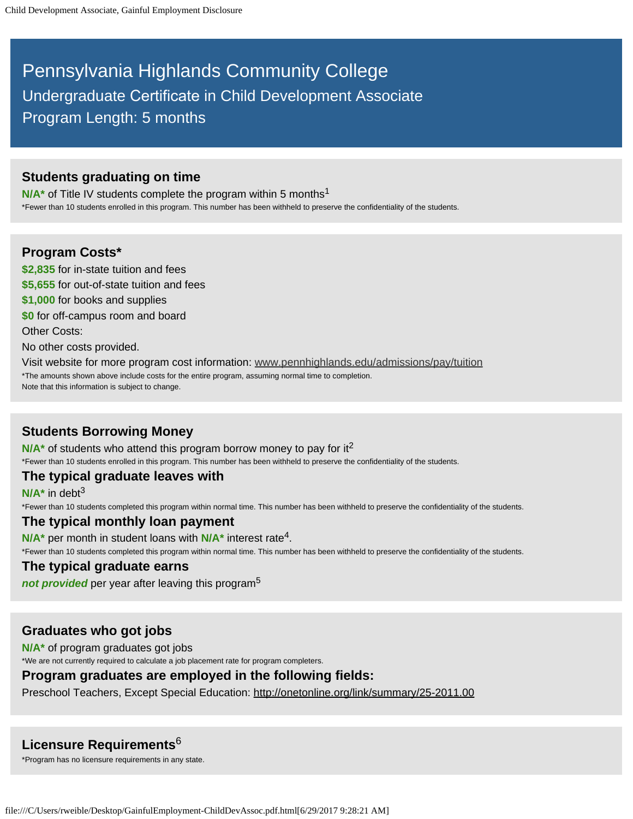# Pennsylvania Highlands Community College Undergraduate Certificate in Child Development Associate Program Length: 5 months

# **Students graduating on time**

N/A<sup>\*</sup> of Title IV students complete the program within 5 months<sup>1</sup>

\*Fewer than 10 students enrolled in this program. This number has been withheld to preserve the confidentiality of the students.

## **Program Costs\***

**\$2,835** for in-state tuition and fees **\$5,655** for out-of-state tuition and fees

- **\$1,000** for books and supplies
- **\$0** for off-campus room and board

Other Costs:

No other costs provided.

Visit website for more program cost information: www.pennhighlands.edu/admissions/pay/tuition \*The amounts shown above include costs for the entire program, assuming normal time to completion. Note that this information is subject to change.

# **Students Borrowing Money**

N/A<sup>\*</sup> of students who attend this program borrow money to pay for it<sup>2</sup> \*Fewer than 10 students enrolled in this program. This number has been withheld to preserve the confidentiality of the students.

## **The typical graduate leaves with**

**N/A\*** in debt 3

\*Fewer than 10 students completed this program within normal time. This number has been withheld to preserve the confidentiality of the students.

## **The typical monthly loan payment**

N/A<sup>\*</sup> per month in student loans with N/A<sup>\*</sup> interest rate<sup>4</sup>.

\*Fewer than 10 students completed this program within normal time. This number has been withheld to preserve the confidentiality of the students.

## **The typical graduate earns**

*not provided* per year after leaving this program 5

# **Graduates who got jobs**

**N/A\*** of program graduates got jobs

\*We are not currently required to calculate a job placement rate for program completers.

## **Program graduates are employed in the following fields:**

Preschool Teachers, Except Special Education: http://onetonline.org/link/summary/25-2011.00

# **Licensure Requirements** 6

\*Program has no licensure requirements in any state.